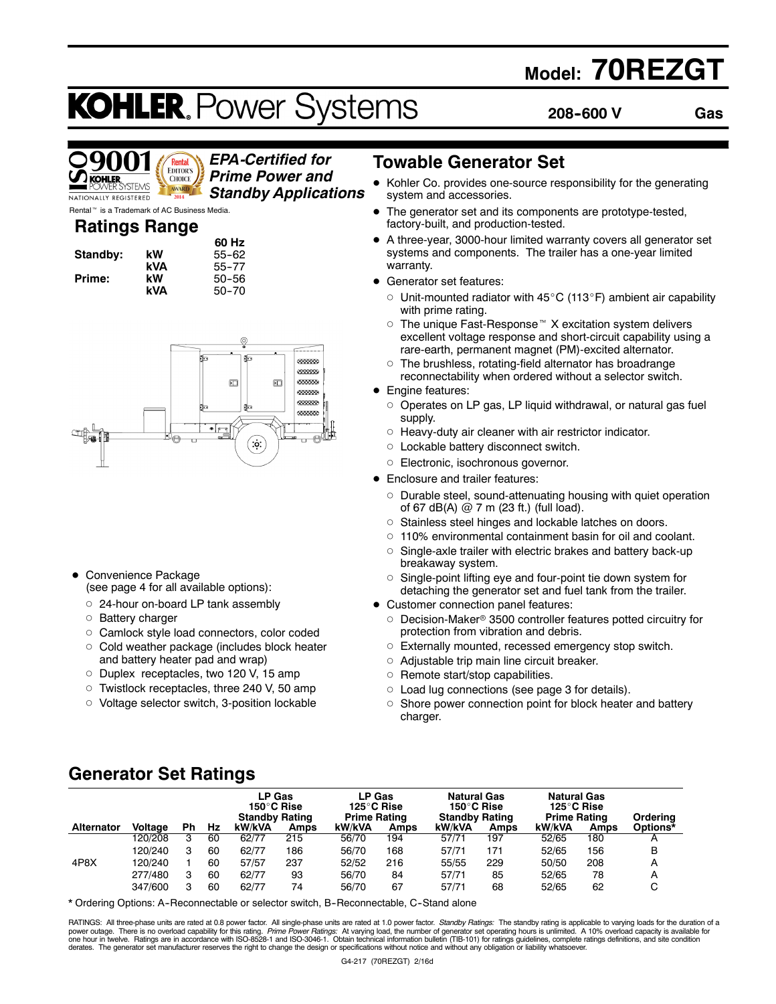## **Model: 70REZGT**

# **KOHLER. Power Systems**

**60 Hz Standby: kW** 55--62 **kVA** 55--77 **Prime: kW** 50--56 **kVA** 50--70 **208--600 V Gas**



#### *EPA-Certified for Prime Power and Standby Applications*

Rental<sup>™</sup> is a Trademark of AC Business Media.

### **Ratings Range**

| Standby: | kW  |
|----------|-----|
|          | kVA |
| Prime:   | kW  |
|          | kVΔ |



- Convenience Package (see page 4 for all available options):
	- o 24-hour on-board LP tank assembly
	- o Battery charger
	- o Camlock style load connectors, color coded
	- $\circ$  Cold weather package (includes block heater and battery heater pad and wrap)
	- o Duplex receptacles, two 120 V, 15 amp
	- o Twistlock receptacles, three 240 V, 50 amp
	- o Voltage selector switch, 3-position lockable

### **Towable Generator Set**

- Kohler Co. provides one-source responsibility for the generating system and accessories.
- The generator set and its components are prototype-tested, factory-built, and production-tested.
- A three-year, 3000-hour limited warranty covers all generator set systems and components. The trailer has a one-year limited warranty.
- Generator set features:
	- $\circ$  Unit-mounted radiator with 45°C (113°F) ambient air capability with prime rating.
	- $\circ$  The unique Fast-Response™ X excitation system delivers excellent voltage response and short-circuit capability using a rare-earth, permanent magnet (PM)-excited alternator.
	- $\circ$  The brushless, rotating-field alternator has broadrange reconnectability when ordered without a selector switch.
- Engine features:
	- $\circ$  Operates on LP gas, LP liquid withdrawal, or natural gas fuel supply.
	- $\circ$  Heavy-duty air cleaner with air restrictor indicator.
	- $\circ$  Lockable battery disconnect switch.
	- o Electronic, isochronous governor.
- Enclosure and trailer features:
	- o Durable steel, sound-attenuating housing with quiet operation of 67 dB(A)  $@$  7 m (23 ft.) (full load).
	- o Stainless steel hinges and lockable latches on doors.
	- $\circ$  110% environmental containment basin for oil and coolant.
	- $\circ$  Single-axle trailer with electric brakes and battery back-up breakaway system.
	- $\circ$  Single-point lifting eye and four-point tie down system for detaching the generator set and fuel tank from the trailer.
- Customer connection panel features:
	- $\circ$  Decision-Maker® 3500 controller features potted circuitry for protection from vibration and debris.
	- $\circ$  Externally mounted, recessed emergency stop switch.
	- $\circ$  Adjustable trip main line circuit breaker.
	- $\circ$  Remote start/stop capabilities.
	- $\circ$  Load lug connections (see page 3 for details).
	- $\circ$  Shore power connection point for block heater and battery charger.

### **Generator Set Ratings**

|                   |                |    |    | LP Gas<br>150°C Rise<br><b>Standby Rating</b> |      | LP Gas<br>125°C Rise<br><b>Prime Rating</b> |      | <b>Natural Gas</b><br>150°C Rise<br><b>Standby Rating</b> |      | <b>Natural Gas</b><br>125°C Rise<br><b>Prime Rating</b> |             | Ordering |
|-------------------|----------------|----|----|-----------------------------------------------|------|---------------------------------------------|------|-----------------------------------------------------------|------|---------------------------------------------------------|-------------|----------|
| <b>Alternator</b> | <b>Voltage</b> | Ph | Hz | kW/kVA                                        | Amps | kW/kVA                                      | Amps | kW/kVA                                                    | Amps | kW/kVA                                                  | <b>Amps</b> | Options* |
|                   | 120/208        | 3  | 60 | 62/77                                         | 215  | 56/70                                       | 194  | 57/71                                                     | 197  | 52/65                                                   | 180         |          |
|                   | 120/240        | 3  | 60 | 62/77                                         | 186  | 56/70                                       | 168  | 57/71                                                     | 171  | 52/65                                                   | 156         | B        |
| 4P8X              | 120/240        |    | 60 | 57/57                                         | 237  | 52/52                                       | 216  | 55/55                                                     | 229  | 50/50                                                   | 208         | A        |
|                   | 277/480        | 3  | 60 | 62/77                                         | 93   | 56/70                                       | 84   | 57/71                                                     | 85   | 52/65                                                   | 78          | A        |
|                   | 347/600        | 3  | 60 | 62/77                                         | 74   | 56/70                                       | 67   | 57/71                                                     | 68   | 52/65                                                   | 62          | С        |

\* Ordering Options: A-Reconnectable or selector switch, B-Reconnectable, C-Stand alone

RATINGS: All three-phase units are rated at 0.8 power factor. All single-phase units are rated at 1.0 power factor. *Standby Ratings*: The standby rating is applicable to varying loads for the duration of a<br>power outage. T derates. The generator set manufacturer reserves the right to change the design or specifications without notice and without any obligation or liability whatsoever.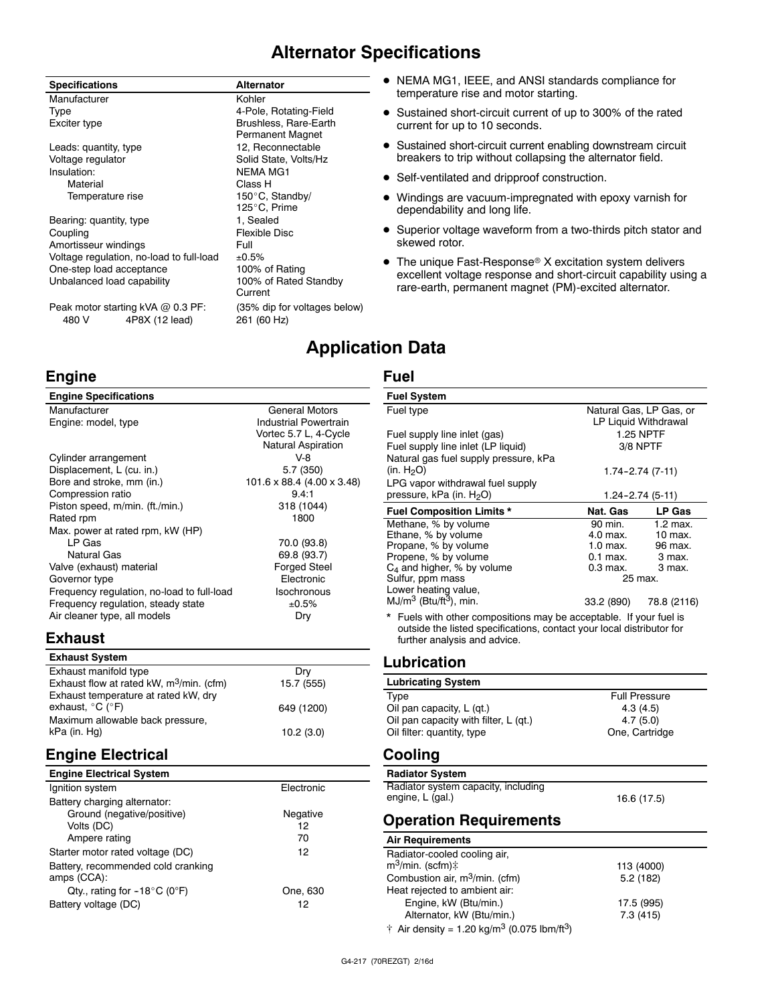### **Alternator Specifications**

| Specifications                                               | <b>Alternator</b>                           |
|--------------------------------------------------------------|---------------------------------------------|
| Manufacturer                                                 | Kohler                                      |
| Type                                                         | 4-Pole, Rotating-Field                      |
| Exciter type                                                 | Brushless, Rare-Earth<br>Permanent Magnet   |
| Leads: quantity, type                                        | 12, Reconnectable                           |
| Voltage regulator                                            | Solid State, Volts/Hz                       |
| Insulation:                                                  | <b>NEMA MG1</b>                             |
| Material                                                     | Class H                                     |
| Temperature rise                                             | 150°C, Standby/                             |
|                                                              | 125°C, Prime                                |
| Bearing: quantity, type                                      | 1, Sealed                                   |
| Coupling                                                     | <b>Flexible Disc</b>                        |
| Amortisseur windings                                         | Full                                        |
| Voltage regulation, no-load to full-load                     | ±0.5%                                       |
| One-step load acceptance                                     | 100% of Rating                              |
| Unbalanced load capability                                   | 100% of Rated Standby<br>Current            |
| Peak motor starting kVA @ 0.3 PF:<br>480 V<br>4P8X (12 lead) | (35% dip for voltages below)<br>261 (60 Hz) |

### **Engine**

| <b>Engine Specifications</b>               |                            |
|--------------------------------------------|----------------------------|
| Manufacturer                               | <b>General Motors</b>      |
| Engine: model, type                        | Industrial Powertrain      |
|                                            | Vortec 5.7 L, 4-Cycle      |
|                                            | <b>Natural Aspiration</b>  |
| Cylinder arrangement                       | $V-8$                      |
| Displacement, L (cu. in.)                  | 5.7 (350)                  |
| Bore and stroke, mm (in.)                  | 101.6 x 88.4 (4.00 x 3.48) |
| Compression ratio                          | 9.4:1                      |
| Piston speed, m/min. (ft./min.)            | 318 (1044)                 |
| Rated rpm                                  | 1800                       |
| Max. power at rated rpm, kW (HP)           |                            |
| LP Gas                                     | 70.0 (93.8)                |
| Natural Gas                                | 69.8 (93.7)                |
| Valve (exhaust) material                   | <b>Forged Steel</b>        |
| Governor type                              | Electronic                 |
| Frequency regulation, no-load to full-load | <b>Isochronous</b>         |
| Frequency regulation, steady state         | ±0.5%                      |
| Air cleaner type, all models               | Dry                        |
|                                            |                            |

### **Exhaust**

| 15.7 (555)<br>649 (1200) |
|--------------------------|

### **Engine Electrical**

| <b>Engine Electrical System</b>                   |            |
|---------------------------------------------------|------------|
| Ignition system                                   | Electronic |
| Battery charging alternator:                      |            |
| Ground (negative/positive)                        | Negative   |
| Volts (DC)                                        | 12         |
| Ampere rating                                     | 70         |
| Starter motor rated voltage (DC)                  | 12         |
| Battery, recommended cold cranking<br>amps (CCA): |            |
| Qty., rating for $-18^{\circ}$ C (0°F)            | One, 630   |
| Battery voltage (DC)                              | 12         |

#### $\bullet$  NEMA MG1, IEEE, and ANSI standards compliance for temperature rise and motor starting.

- Sustained short-circuit current of up to 300% of the rated current for up to 10 seconds.
- **•** Sustained short-circuit current enabling downstream circuit breakers to trip without collapsing the alternator field.
- Self-ventilated and dripproof construction.
- Windings are vacuum-impregnated with epoxy varnish for dependability and long life.
- Superior voltage waveform from a two-thirds pitch stator and skewed rotor.
- $\bullet$  The unique Fast-Response® X excitation system delivers excellent voltage response and short-circuit capability using a rare-earth, permanent magnet (PM)-excited alternator.

### **Application Data**

#### **Fuel**

| <b>Fuel System</b>                                                                                                   |                         |               |
|----------------------------------------------------------------------------------------------------------------------|-------------------------|---------------|
| Fuel type                                                                                                            | Natural Gas, LP Gas, or |               |
|                                                                                                                      | LP Liquid Withdrawal    |               |
| Fuel supply line inlet (gas)                                                                                         | <b>1.25 NPTF</b>        |               |
| Fuel supply line inlet (LP liquid)                                                                                   | 3/8 NPTF                |               |
| Natural gas fuel supply pressure, kPa                                                                                |                         |               |
| (in. $H_2O$ )                                                                                                        | 1.74-2.74 (7-11)        |               |
| LPG vapor withdrawal fuel supply                                                                                     |                         |               |
| pressure, kPa (in. H <sub>2</sub> O)                                                                                 | 1.24-2.74 (5-11)        |               |
| <b>Fuel Composition Limits *</b>                                                                                     | Nat. Gas                | <b>LP Gas</b> |
| Methane, % by volume                                                                                                 | 90 min.                 | $1.2$ max.    |
| Ethane, % by volume                                                                                                  | 4.0 max.                | $10$ max.     |
| Propane, % by volume                                                                                                 | 1.0 max.                | 96 max.       |
| Propene, % by volume                                                                                                 | $0.1$ max.              | 3 max.        |
| $C_4$ and higher, % by volume                                                                                        | $0.3$ max.              | 3 max.        |
| Sulfur, ppm mass                                                                                                     | 25 max.                 |               |
| Lower heating value,                                                                                                 |                         |               |
| $MJ/m3$ (Btu/ft <sup>3</sup> ), min.                                                                                 | 33.2 (890)              | 78.8 (2116)   |
| outside the listed specifications, contact your local distributor for<br>further analysis and advice.<br>Lubrication |                         |               |
| <b>Lubricating System</b>                                                                                            |                         |               |
| <b>Type</b>                                                                                                          | <b>Full Pressure</b>    |               |
| Oil pan capacity, L (qt.)                                                                                            | 4.3(4.5)                |               |
| Oil pan capacity with filter, L (qt.)                                                                                | 4.7(5.0)                |               |
| Oil filter: quantity, type                                                                                           | One, Cartridge          |               |
| Cooling                                                                                                              |                         |               |
| <b>Radiator System</b>                                                                                               |                         |               |
| Radiator system capacity, including                                                                                  |                         |               |
| engine, L (gal.)                                                                                                     | 16.6 (17.5)             |               |
|                                                                                                                      |                         |               |
| <b>Operation Requirements</b>                                                                                        |                         |               |
| <b>Air Requirements</b>                                                                                              |                         |               |
| Badiator-cooled cooling air                                                                                          |                         |               |

| Radiator-cooled cooling air,                                        |            |
|---------------------------------------------------------------------|------------|
| $m^3$ /min. (scfm) $\ddagger$                                       | 113 (4000) |
| Combustion air, $m^3/m$ in. (cfm)                                   | 5.2(182)   |
| Heat rejected to ambient air:                                       |            |
| Engine, kW (Btu/min.)                                               | 17.5 (995) |
| Alternator, kW (Btu/min.)                                           | 7.3(415)   |
| † Air density = 1.20 kg/m <sup>3</sup> (0.075 lbm/ft <sup>3</sup> ) |            |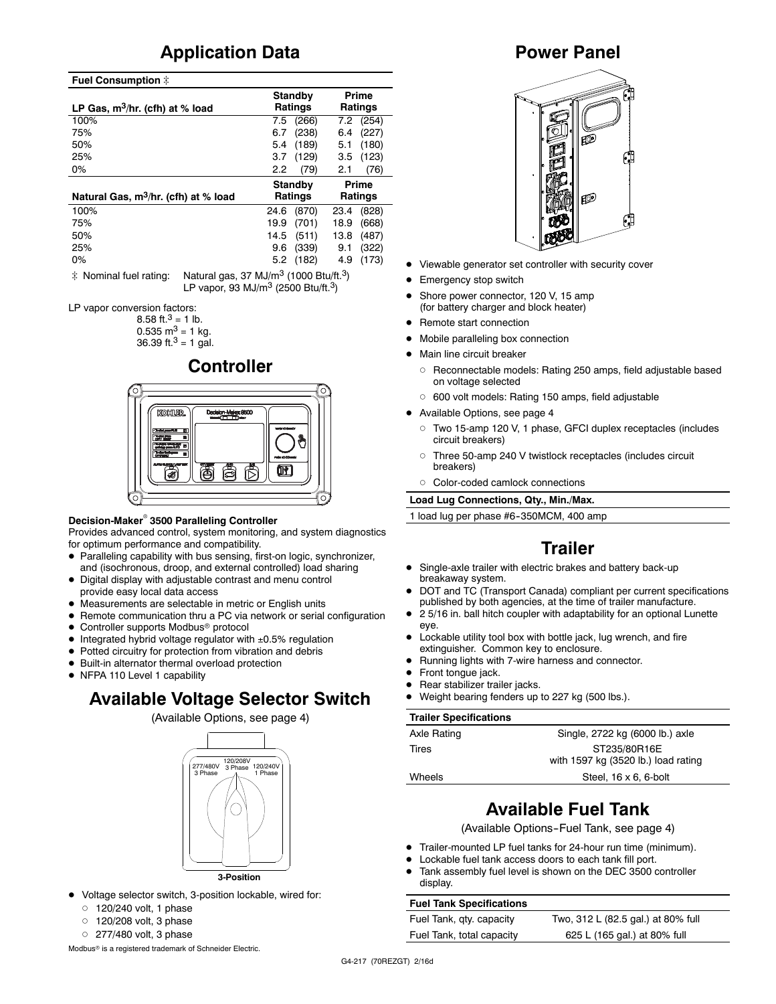### **Application Data**

#### **Fuel Consumption**  $\ddagger$

| LP Gas, $m^3/hr$ . (cfh) at % load               | Standby<br><b>Ratings</b> | Prime<br>Ratings |
|--------------------------------------------------|---------------------------|------------------|
| 100%                                             | (266)<br>7.5              | (254)<br>7.2     |
| 75%                                              | (238)<br>6.7              | (227)<br>6.4     |
| 50%                                              | (189)<br>5.4              | (180)<br>5.1     |
| 25%                                              | (129)<br>3.7              | (123)<br>3.5     |
| $0\%$                                            | (79)<br>2.2               | (76)<br>2.1      |
| Natural Gas, m <sup>3</sup> /hr. (cfh) at % load | Standby<br><b>Ratings</b> | Prime<br>Ratings |
| 100%                                             | (870)<br>24.6             | (828)<br>23.4    |
| 75%                                              | 19.9<br>(701)             | 18.9<br>(668)    |
| 50%                                              | 14.5<br>(511)             | 13.8<br>(487)    |
| 25%                                              | (339)<br>9.6              | (322)<br>9.1     |
| 0%                                               | (182)<br>5.2              | (173)<br>4.9     |

 $\ddot{\text{*}}$  Nominal fuel rating: Natural gas, 37 MJ/m<sup>3</sup> (1000 Btu/ft.<sup>3</sup>) LP vapor, 93 MJ/m3 (2500 Btu/ft.3)

LP vapor conversion factors:

8.58 ft.<sup>3</sup> = 1 lb.  $0.535$  m<sup>3</sup> = 1 kg.

36.39 ft. $3 = 1$  gal.

### **Controller**



#### **Decision-Maker<sup>®</sup> 3500 Paralleling Controller**

Provides advanced control, system monitoring, and system diagnostics for optimum performance and compatibility.

- Paralleling capability with bus sensing, first-on logic, synchronizer, and (isochronous, droop, and external controlled) load sharing
- $\bullet$  Digital display with adjustable contrast and menu control provide easy local data access
- $\bullet$  Measurements are selectable in metric or English units
- Remote communication thru a PC via network or serial configuration
- $\bullet$  Controller supports Modbus® protocol
- Integrated hybrid voltage regulator with  $\pm 0.5\%$  regulation
- Potted circuitry for protection from vibration and debris
- $\bullet$  Built-in alternator thermal overload protection
- NFPA 110 Level 1 capability

### **Available Voltage Selector Switch**

(Available Options, see page 4)



- $\bullet$  Voltage selector switch, 3-position lockable, wired for:
	- $0$  120/240 volt, 1 phase
	- $0$  120/208 volt, 3 phase
	- $O$  277/480 volt, 3 phase

Modbus<sup>®</sup> is a registered trademark of Schneider Electric.

### **Power Panel**



- Viewable generator set controller with security cover
- Emergency stop switch
- Shore power connector, 120 V, 15 amp (for battery charger and block heater)
- Remote start connection
- Mobile paralleling box connection
- Main line circuit breaker
	- o Reconnectable models: Rating 250 amps, field adjustable based on voltage selected
	- o 600 volt models: Rating 150 amps, field adjustable
- $\bullet$  Available Options, see page 4
	- d Two 15-amp 120 V, 1 phase, GFCI duplex receptacles (includes circuit breakers)
	- o Three 50-amp 240 V twistlock receptacles (includes circuit breakers)
	- d Color-coded camlock connections

**Load Lug Connections, Qty., Min./Max.**

1 load lug per phase #6-350MCM, 400 amp

### **Trailer**

- Single-axle trailer with electric brakes and battery back-up breakaway system.
- DOT and TC (Transport Canada) compliant per current specifications published by both agencies, at the time of trailer manufacture.
- 2 5/16 in. ball hitch coupler with adaptability for an optional Lunette eye.
- $\bullet$  Lockable utility tool box with bottle jack, lug wrench, and fire extinguisher. Common key to enclosure.
- Running lights with 7-wire harness and connector.
- Front tonque jack.
- Rear stabilizer trailer jacks.
- Weight bearing fenders up to 227 kg (500 lbs.).

#### **Trailer Specifications**

| Axle Rating | Single, 2722 kg (6000 lb.) axle                     |
|-------------|-----------------------------------------------------|
| Tires       | ST235/80R16E<br>with 1597 kg (3520 lb.) load rating |
| Wheels      | Steel, $16 \times 6$ , 6-bolt                       |
|             |                                                     |

### **Available Fuel Tank**

(Available Options-Fuel Tank, see page 4)

- Trailer-mounted LP fuel tanks for 24-hour run time (minimum).
- Lockable fuel tank access doors to each tank fill port.
- Tank assembly fuel level is shown on the DEC 3500 controller display.

#### **Fuel Tank Specifications**

Fuel Tank, qty. capacity Two, 312 L (82.5 gal.) at 80% full Fuel Tank, total capacity 625 L (165 gal.) at 80% full